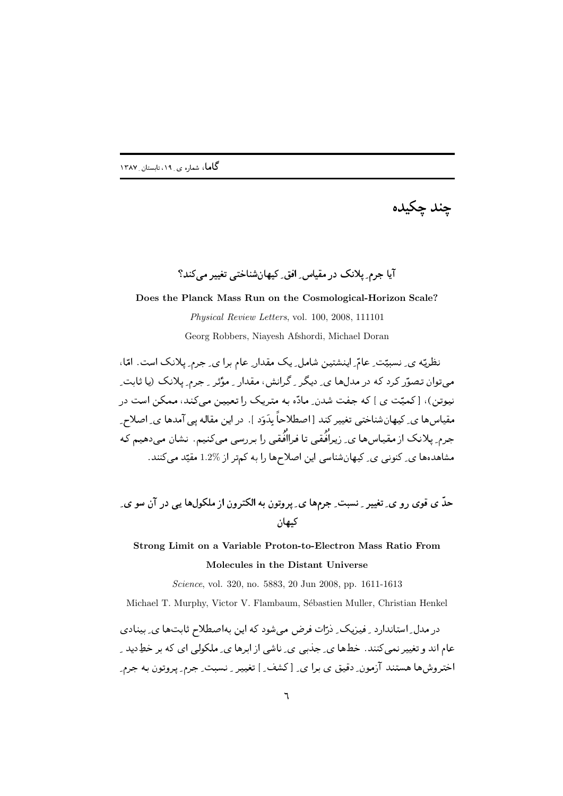چند چکیده

آیا جرم پلانک در مقیاس افق کیهان شناختی تغییر مے کند؟

**Does the Planck Mass Run on the Cosmological-Horizon Scale?**

*Physical Review Letters*, vol. 100, 2008, 111101

Georg Robbers, Niayesh Afshordi, Michael Doran

 \*0 
-P! 3  3D 2A :/ 4 ( 3 D 0 >;-  l- میتوان تصوّر کرد که در مدلها ی ِ دیگر ِ گرانش، مقدار ِ مؤثر ِ جرم ِ پلانک (یا ثابت ِ سی کا میں اس کا استعمال ہوتا ہے اور اس کی معامل ہوتا ہے۔ اس کا اس کا ان کا ان کا ان کا ان کا ان کا ان کا ان کا مسیس سال کے سیکس سیکس سیپر سنگ از شخصائی ہماری اور اس کل سال ہی استعمال کے استعمال کے اس کے اس کے اس کے ان جرم کے اجراب مسلمان کی ریز اسم کی در اسم اس از اس اس اس کے اس کے اس کے اس کے اس کے اس کے اس کے اس کے اس کے اس مشاهدهها ی ِ کنونبی ی ِ کیهانشناسی این اصلاحها را به کمتر از %1.2 مقیّد میکنند.

 4 3  "546 67 % 4+ \$ "2 89: ))\*+ 4; < ,)(

## **Strong Limit on a Variable Proton-to-Electron Mass Ratio From Molecules in the Distant Universe**

*Science*, vol. 320, no. 5883, 20 Jun 2008, pp. 1611-1613

Michael T. Murphy, Victor V. Flambaum, Sébastien Muller, Christian Henkel

ل المواجه المستوجب المستوجب المستوجب المستوجب المستوجب المستوجب المستوجب المستوجب المستوجب المستوجب المستوجب المستوجب المستوجب المستوجب المستوجب المستوجب المستوجب المستوجب المستوجب المستوجب المستوجب المستوجب المستوجب المست ב ויכול המודיע היה מוסגר היא המודיע היה מגיד המודיע היה מיני היה המודיע היה מיני היה מיני היה המודיע היה מיני ה 3 ! 3 0>;-  <sup>Y</sup> L  1- 9 2( 4;+ +b 4"